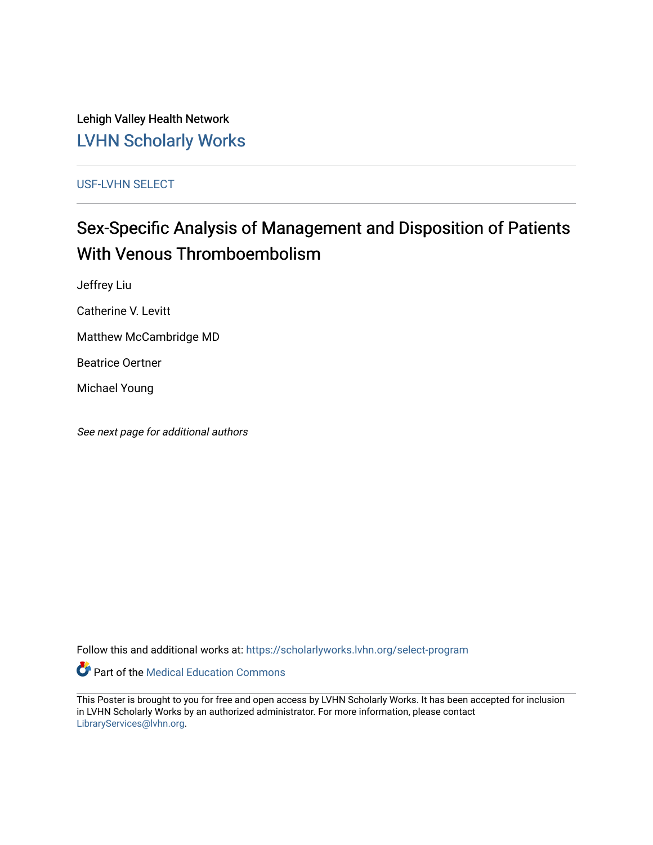Lehigh Valley Health Network [LVHN Scholarly Works](https://scholarlyworks.lvhn.org/)

[USF-LVHN SELECT](https://scholarlyworks.lvhn.org/select-program) 

#### Sex-Specific Analysis of Management and Disposition of Patients With Venous Thromboembolism

Jeffrey Liu

Catherine V. Levitt

Matthew McCambridge MD

Beatrice Oertner

Michael Young

See next page for additional authors

Follow this and additional works at: [https://scholarlyworks.lvhn.org/select-program](https://scholarlyworks.lvhn.org/select-program?utm_source=scholarlyworks.lvhn.org%2Fselect-program%2F301&utm_medium=PDF&utm_campaign=PDFCoverPages)

Part of the [Medical Education Commons](https://network.bepress.com/hgg/discipline/1125?utm_source=scholarlyworks.lvhn.org%2Fselect-program%2F301&utm_medium=PDF&utm_campaign=PDFCoverPages) 

This Poster is brought to you for free and open access by LVHN Scholarly Works. It has been accepted for inclusion in LVHN Scholarly Works by an authorized administrator. For more information, please contact [LibraryServices@lvhn.org](mailto:LibraryServices@lvhn.org).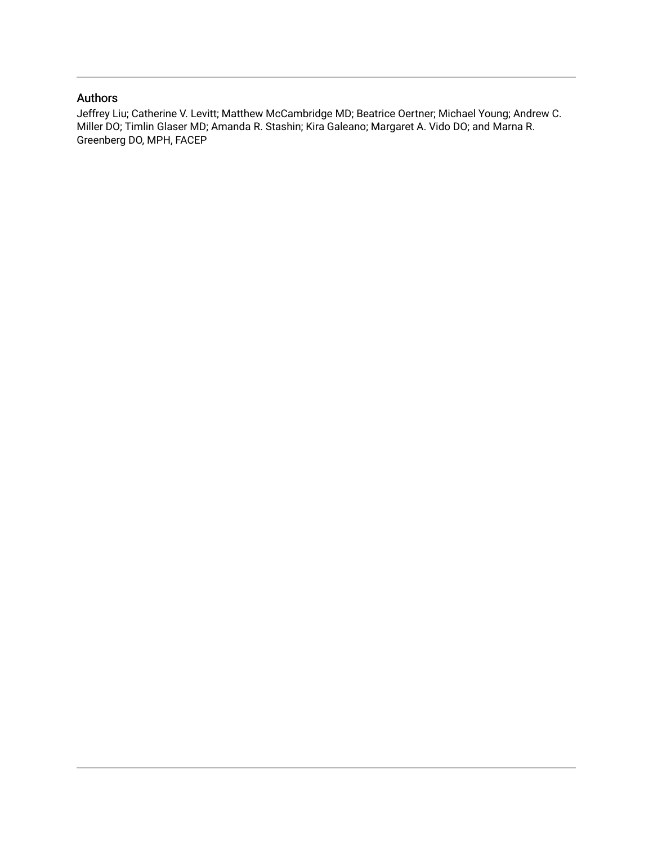#### Authors

Jeffrey Liu; Catherine V. Levitt; Matthew McCambridge MD; Beatrice Oertner; Michael Young; Andrew C. Miller DO; Timlin Glaser MD; Amanda R. Stashin; Kira Galeano; Margaret A. Vido DO; and Marna R. Greenberg DO, MPH, FACEP